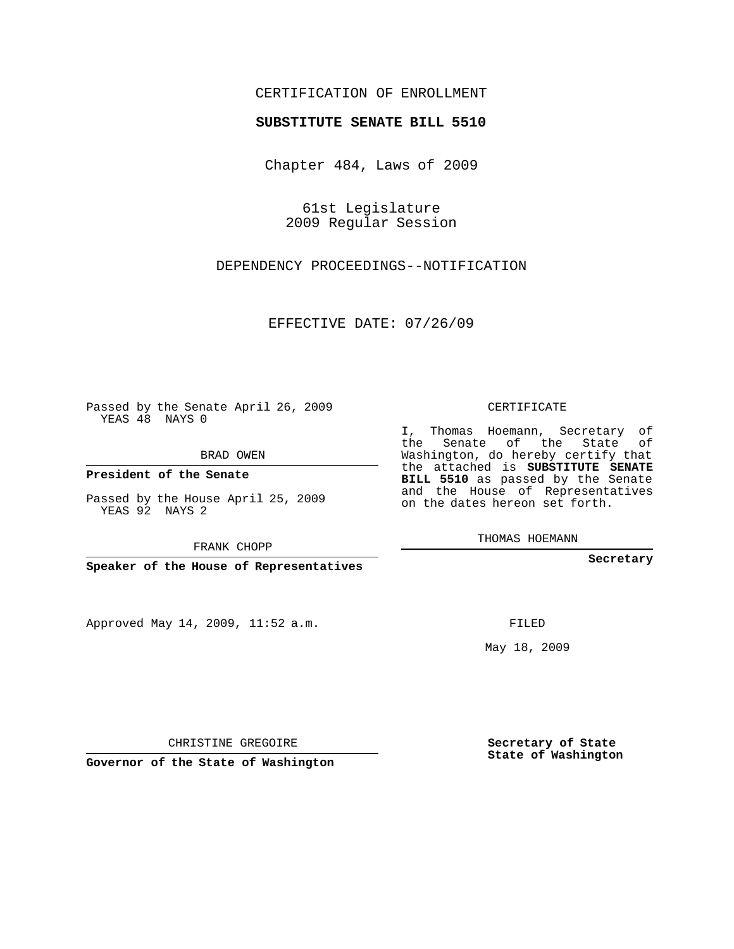## CERTIFICATION OF ENROLLMENT

## **SUBSTITUTE SENATE BILL 5510**

Chapter 484, Laws of 2009

61st Legislature 2009 Regular Session

DEPENDENCY PROCEEDINGS--NOTIFICATION

EFFECTIVE DATE: 07/26/09

Passed by the Senate April 26, 2009 YEAS 48 NAYS 0

BRAD OWEN

**President of the Senate**

Passed by the House April 25, 2009 YEAS 92 NAYS 2

FRANK CHOPP

**Speaker of the House of Representatives**

Approved May 14, 2009, 11:52 a.m.

CERTIFICATE

I, Thomas Hoemann, Secretary of the Senate of the State of Washington, do hereby certify that the attached is **SUBSTITUTE SENATE BILL 5510** as passed by the Senate and the House of Representatives on the dates hereon set forth.

THOMAS HOEMANN

**Secretary**

FILED

May 18, 2009

**Secretary of State State of Washington**

CHRISTINE GREGOIRE

**Governor of the State of Washington**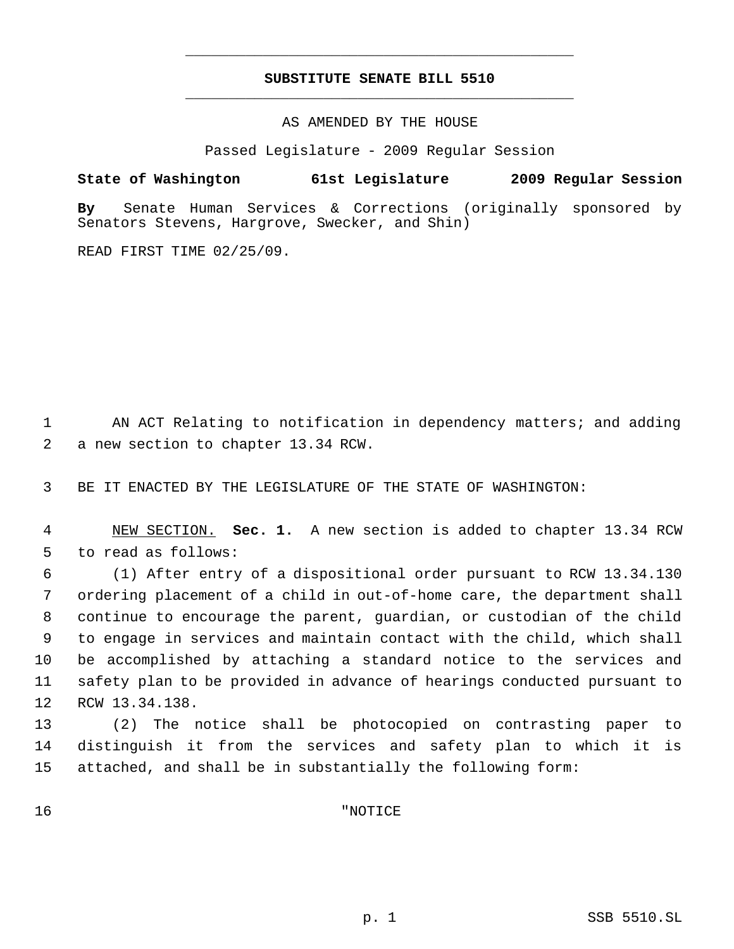## **SUBSTITUTE SENATE BILL 5510** \_\_\_\_\_\_\_\_\_\_\_\_\_\_\_\_\_\_\_\_\_\_\_\_\_\_\_\_\_\_\_\_\_\_\_\_\_\_\_\_\_\_\_\_\_

\_\_\_\_\_\_\_\_\_\_\_\_\_\_\_\_\_\_\_\_\_\_\_\_\_\_\_\_\_\_\_\_\_\_\_\_\_\_\_\_\_\_\_\_\_

AS AMENDED BY THE HOUSE

Passed Legislature - 2009 Regular Session

**State of Washington 61st Legislature 2009 Regular Session**

**By** Senate Human Services & Corrections (originally sponsored by Senators Stevens, Hargrove, Swecker, and Shin)

READ FIRST TIME 02/25/09.

 AN ACT Relating to notification in dependency matters; and adding a new section to chapter 13.34 RCW.

BE IT ENACTED BY THE LEGISLATURE OF THE STATE OF WASHINGTON:

 NEW SECTION. **Sec. 1.** A new section is added to chapter 13.34 RCW to read as follows:

 (1) After entry of a dispositional order pursuant to RCW 13.34.130 ordering placement of a child in out-of-home care, the department shall continue to encourage the parent, guardian, or custodian of the child to engage in services and maintain contact with the child, which shall be accomplished by attaching a standard notice to the services and safety plan to be provided in advance of hearings conducted pursuant to RCW 13.34.138.

 (2) The notice shall be photocopied on contrasting paper to distinguish it from the services and safety plan to which it is attached, and shall be in substantially the following form:

"NOTICE